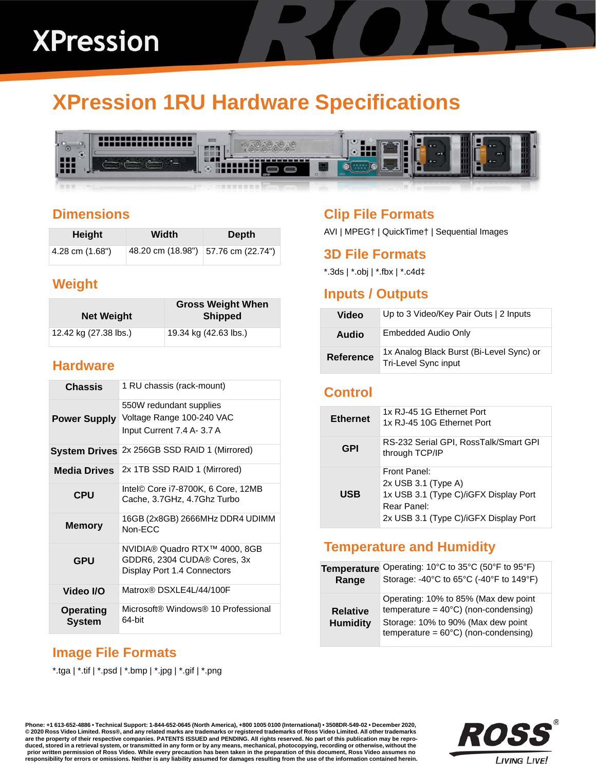# **XPression 1RU Hardware Specifications**



#### **Dimensions**

| Height          | Width | Depth                               |
|-----------------|-------|-------------------------------------|
| 4.28 cm (1.68") |       | 48.20 cm (18.98") 57.76 cm (22.74") |

## **Weight**

| <b>Net Weight</b>     | <b>Gross Weight When</b><br><b>Shipped</b> |
|-----------------------|--------------------------------------------|
| 12.42 kg (27.38 lbs.) | 19.34 kg (42.63 lbs.)                      |

#### **Hardware**

| <b>Chassis</b>                    | 1 RU chassis (rack-mount)                                                                   |
|-----------------------------------|---------------------------------------------------------------------------------------------|
| <b>Power Supply</b>               | 550W redundant supplies<br>Voltage Range 100-240 VAC<br>Input Current 7.4 A- 3.7 A          |
| <b>System Drives</b>              | 2x 256GB SSD RAID 1 (Mirrored)                                                              |
| <b>Media Drives</b>               | 2x 1TB SSD RAID 1 (Mirrored)                                                                |
| <b>CPU</b>                        | Intel© Core i7-8700K, 6 Core, 12MB<br>Cache, 3.7GHz, 4.7Ghz Turbo                           |
| <b>Memory</b>                     | 16GB (2x8GB) 2666MHz DDR4 UDIMM<br>Non-FCC                                                  |
| <b>GPU</b>                        | NVIDIA® Quadro RTX™ 4000, 8GB<br>GDDR6, 2304 CUDA® Cores, 3x<br>Display Port 1.4 Connectors |
| Video I/O                         | Matrox® DSXLF4L/44/100F                                                                     |
| <b>Operating</b><br><b>System</b> | Microsoft® Windows® 10 Professional<br>64-bit                                               |

# **Image File Formats**

\*.tga | \*.tif | \*.psd | \*.bmp | \*.jpg | \*.gif | \*.png

#### **Clip File Formats**

AVI | MPEG† | QuickTime† | Sequential Images

#### **3D File Formats**

\*.3ds | \*.obj | \*.fbx | \*.c4d‡

#### **Inputs / Outputs**

| Video            | Up to 3 Video/Key Pair Outs   2 Inputs                           |
|------------------|------------------------------------------------------------------|
| Audio            | Embedded Audio Only                                              |
| <b>Reference</b> | 1x Analog Black Burst (Bi-Level Sync) or<br>Tri-Level Sync input |

#### **Control**

| <b>Ethernet</b> | 1x RJ-45 1G Ethernet Port<br>1x RJ-45 10G Ethernet Port                                                                                |
|-----------------|----------------------------------------------------------------------------------------------------------------------------------------|
| GPI             | RS-232 Serial GPI, RossTalk/Smart GPI<br>through TCP/IP                                                                                |
| <b>USB</b>      | Front Panel:<br>$2x$ USB 3.1 (Type A)<br>1x USB 3.1 (Type C)/iGFX Display Port<br>Rear Panel:<br>2x USB 3.1 (Type C)/iGFX Display Port |

#### **Temperature and Humidity**

| <b>Temperature</b>                 | Operating: 10°C to 35°C (50°F to 95°F)                                                                                                                                         |
|------------------------------------|--------------------------------------------------------------------------------------------------------------------------------------------------------------------------------|
| Range                              | Storage: -40°C to 65°C (-40°F to 149°F)                                                                                                                                        |
| <b>Relative</b><br><b>Humidity</b> | Operating: 10% to 85% (Max dew point<br>temperature = $40^{\circ}$ C) (non-condensing)<br>Storage: 10% to 90% (Max dew point<br>temperature = $60^{\circ}$ C) (non-condensing) |

**Phone: +1 613-652-4886 • Technical Support: 1-844-652-0645 (North America), +800 1005 0100 (International) • 3508DR-549-02 • December 2020, © 2020 Ross Video Limited. Ross®, and any related marks are trademarks or registered trademarks of Ross Video Limited. All other trademarks are the property of their respective companies. PATENTS ISSUED and PENDING. All rights reserved. No part of this publication may be repro**duced, stored in a retrieval system, or transmitted in any form or by any means, mechanical, photocopying, recording or otherwise, without the<br>prior written permission of Ross Video. While every precaution has been taken i